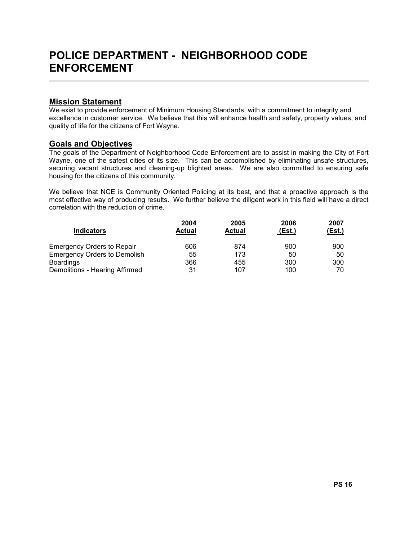### Mission Statement

L

We exist to provide enforcement of Minimum Housing Standards, with a commitment to integrity and excellence in customer service. We believe that this will enhance health and safety, property values, and quality of life for the citizens of Fort Wayne.

## Goals and Objectives

The goals of the Department of Neighborhood Code Enforcement are to assist in making the City of Fort Wayne, one of the safest cities of its size. This can be accomplished by eliminating unsafe structures, securing vacant structures and cleaning-up blighted areas. We are also committed to ensuring safe housing for the citizens of this community.

We believe that NCE is Community Oriented Policing at its best, and that a proactive approach is the most effective way of producing results. We further believe the diligent work in this field will have a direct correlation with the reduction of crime.

|                                     | 2004   | 2005          | 2006   | 2007   |
|-------------------------------------|--------|---------------|--------|--------|
| <b>Indicators</b>                   | Actual | <b>Actual</b> | (Est.) | (Est.) |
| <b>Emergency Orders to Repair</b>   | 606    | 874           | 900    | 900    |
| <b>Emergency Orders to Demolish</b> | 55     | 173           | 50     | 50     |
| <b>Boardings</b>                    | 366    | 455           | 300    | 300    |
| Demolitions - Hearing Affirmed      | 31     | 107           | 100    | 70     |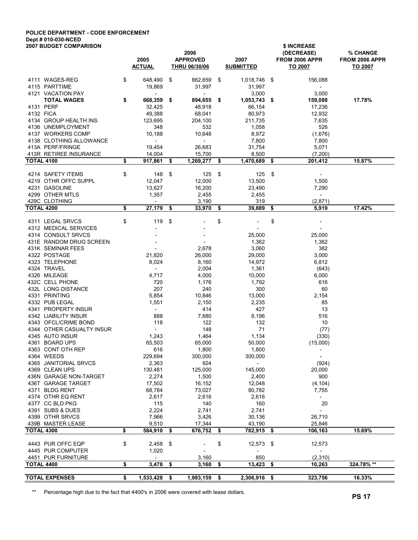# POLICE DEPARTMENT - CODE ENFORCEMENT Dept # 010-030-NCED

| 2005<br><b>APPROVED</b><br>2007<br>FROM 2006 APPR<br>FROM 2006 APPR<br><b>ACTUAL</b><br><b>THRU 06/30/06</b><br><b>SUBMITTED</b><br>TO 2007<br>TO 2007<br>\$<br>4111 WAGES-REG<br>\$<br>648,490<br>862,659<br>\$<br>1,018,746 \$<br>156,088<br>4115 PARTTIME<br>19,869<br>31,997<br>31,997<br>$\overline{\phantom{a}}$<br>4121 VACATION PAY<br>3,000<br>3,000<br>$\overline{\phantom{a}}$<br>$\overline{\phantom{a}}$<br>\$<br>668,359<br>894,655<br>17.78%<br><b>TOTAL WAGES</b><br>\$<br>$1,053,743$ \$<br>159,088<br>\$<br>4131 PERF<br>48,918<br>32,425<br>66,154<br>17,236<br>4132 FICA<br>49,388<br>68,041<br>80,973<br>12,932<br>4134 GROUP HEALTH INS<br>123,695<br>7,635<br>204,100<br>211,735<br>526<br>4136 UNEMPLOYMENT<br>348<br>532<br>1,058<br>4137 WORKERS COMP<br>10,188<br>(1,676)<br>10,648<br>8,972<br>4138 CLOTHING ALLOWANCE<br>7,800<br>7,800<br>$\overline{\phantom{a}}$<br>$\blacksquare$<br>413A PERF/FRINGE<br>26,683<br>5,071<br>19,454<br>31,754<br>413R RETIREE INSURANCE<br>14,004<br>15,700<br>8,500<br>(7, 200)<br>\$<br><b>TOTAL 4100</b><br>917,861<br>15.87%<br>\$<br>1,269,277<br>\$<br>1,470,689<br>201,412<br>\$<br>\$<br>4214 SAFETY ITEMS<br>\$<br>\$<br>148<br>125<br>125<br>-\$<br>4219 OTHR OFFC SUPPL<br>12,047<br>12,000<br>13,500<br>1,500<br>4231 GASOLINE<br>13,627<br>16,200<br>7,290<br>23,490<br>4299 OTHER MTLS<br>1,357<br>2,455<br>2,455<br>$\sim$<br>429C CLOTHING<br>319<br>(2,871)<br>3,190<br>$\overline{\phantom{a}}$<br>17.42%<br><b>TOTAL 4200</b><br>\$<br>27,179<br>33,970<br>5,919<br>\$<br>\$<br>39,889<br>\$<br>\$<br>\$<br>4311 LEGAL SRVCS<br>119<br>\$<br>\$<br>4312 MEDICAL SERVICES<br>4314 CONSULT SRVCS<br>25,000<br>25,000<br>431E RANDOM DRUG SCREEN<br>1,362<br>1,362<br>382<br>431K SEMINAR FEES<br>2,678<br>3,060<br>4322 POSTAGE<br>21,820<br>26,000<br>3,000<br>29,000<br>4323 TELEPHONE<br>8,024<br>6,812<br>8,160<br>14,972<br>4324 TRAVEL<br>2,004<br>1,361<br>(643)<br>$\overline{\phantom{a}}$<br>4326 MILEAGE<br>4,717<br>4,000<br>10,000<br>6,000<br>432C CELL PHONE<br>616<br>720<br>1,176<br>1,792<br>432L LONG DISTANCE<br>207<br>240<br>60<br>300<br>4331 PRINTING<br>5,854<br>2,154<br>10,846<br>13,000<br>4332 PUB LEGAL<br>1,551<br>85<br>2,150<br>2,235<br>4341 PROPERTY INSUR<br>13<br>414<br>427<br>$\sim$<br>4342 LIABILITY INSUR<br>888<br>7,680<br>8,196<br>516<br>4343 OFCL/CRIME BOND<br>118<br>132<br>122<br>10<br>4344 OTHER CASUALTY INSUR<br>148<br>71<br>(77)<br>$\sim$<br>1,243<br>4345 AUTO INSUR<br>1,464<br>1,134<br>(330)<br>4361 BOARD UPS<br>65,503<br>65,000<br>50,000<br>(15,000)<br>4363 CONT OTH REP<br>616<br>1,800<br>1,800<br>4364 WEEDS<br>229,694<br>300,000<br>300,000<br>$\overline{\phantom{a}}$<br>924<br>4365 JANITORIAL SRVCS<br>2,363<br>$\sim$<br>(924)<br>4369 CLEAN UPS<br>130,481<br>125,000<br>145,000<br>20,000<br>436N GARAGE NON-TARGET<br>2,274<br>1,500<br>2,400<br>900<br>436T GARAGE TARGET<br>17,502<br>16,152<br>12,048<br>(4, 104)<br>4371 BLDG RENT<br>68,784<br>73,027<br>80,782<br>7,755<br>4374 OTHR EQ RENT<br>2,616<br>2,617<br>2,616<br>$\sim$<br>4377 CC BLD PKG<br>115<br>140<br>160<br>20<br>4391 SUBS & DUES<br>2,224<br>2,741<br>2,741<br>$\overline{\phantom{a}}$<br>4399 OTHR SRVCS<br>7,966<br>3,426<br>26,710<br>30,136<br>439B MASTER LEASE<br>9,510<br>17,344<br>43,190<br>25,846<br>15.69%<br><b>TOTAL 4300</b><br>\$<br>584,910 \$<br>676,752<br>782,915<br>106,163<br>\$<br>\$<br>\$<br>4443 PUR OFFC EQP<br>\$<br>12,573<br>$2,458$ \$<br>$12,573$ \$<br>4445 PUR COMPUTER<br>1,020<br>$\overline{\phantom{a}}$<br>$\overline{\phantom{a}}$<br>$\overline{\phantom{a}}$<br>850<br>(2,310)<br>4451 PUR FURNITURE<br>3,160<br>$\sim$<br>324.78%**<br>TOTAL 4400<br>\$<br>3,478<br>$13,423$ \$<br>10,263<br>\$<br>3,160<br>\$<br>\$<br>1,533,428 \$<br>323,756<br>2,306,916 \$<br>\$ | <b>2007 BUDGET COMPARISON</b> |  |           |  | \$ INCREASE |            |          |  |  |  |  |  |  |
|-----------------------------------------------------------------------------------------------------------------------------------------------------------------------------------------------------------------------------------------------------------------------------------------------------------------------------------------------------------------------------------------------------------------------------------------------------------------------------------------------------------------------------------------------------------------------------------------------------------------------------------------------------------------------------------------------------------------------------------------------------------------------------------------------------------------------------------------------------------------------------------------------------------------------------------------------------------------------------------------------------------------------------------------------------------------------------------------------------------------------------------------------------------------------------------------------------------------------------------------------------------------------------------------------------------------------------------------------------------------------------------------------------------------------------------------------------------------------------------------------------------------------------------------------------------------------------------------------------------------------------------------------------------------------------------------------------------------------------------------------------------------------------------------------------------------------------------------------------------------------------------------------------------------------------------------------------------------------------------------------------------------------------------------------------------------------------------------------------------------------------------------------------------------------------------------------------------------------------------------------------------------------------------------------------------------------------------------------------------------------------------------------------------------------------------------------------------------------------------------------------------------------------------------------------------------------------------------------------------------------------------------------------------------------------------------------------------------------------------------------------------------------------------------------------------------------------------------------------------------------------------------------------------------------------------------------------------------------------------------------------------------------------------------------------------------------------------------------------------------------------------------------------------------------------------------------------------------------------------------------------------------------------------------------------------------------------------------------------------------------------------------------------------------------------------------------------------------------------------------------------------------------------------------------------------------------------------------------------------------------------------------------------------------------------------------------------------------------------------------------------------------------------------------------------------------------------------------------------------|-------------------------------|--|-----------|--|-------------|------------|----------|--|--|--|--|--|--|
|                                                                                                                                                                                                                                                                                                                                                                                                                                                                                                                                                                                                                                                                                                                                                                                                                                                                                                                                                                                                                                                                                                                                                                                                                                                                                                                                                                                                                                                                                                                                                                                                                                                                                                                                                                                                                                                                                                                                                                                                                                                                                                                                                                                                                                                                                                                                                                                                                                                                                                                                                                                                                                                                                                                                                                                                                                                                                                                                                                                                                                                                                                                                                                                                                                                                                                                                                                                                                                                                                                                                                                                                                                                                                                                                                                                                                                                           |                               |  | 2006      |  |             | (DECREASE) | % CHANGE |  |  |  |  |  |  |
|                                                                                                                                                                                                                                                                                                                                                                                                                                                                                                                                                                                                                                                                                                                                                                                                                                                                                                                                                                                                                                                                                                                                                                                                                                                                                                                                                                                                                                                                                                                                                                                                                                                                                                                                                                                                                                                                                                                                                                                                                                                                                                                                                                                                                                                                                                                                                                                                                                                                                                                                                                                                                                                                                                                                                                                                                                                                                                                                                                                                                                                                                                                                                                                                                                                                                                                                                                                                                                                                                                                                                                                                                                                                                                                                                                                                                                                           |                               |  |           |  |             |            |          |  |  |  |  |  |  |
|                                                                                                                                                                                                                                                                                                                                                                                                                                                                                                                                                                                                                                                                                                                                                                                                                                                                                                                                                                                                                                                                                                                                                                                                                                                                                                                                                                                                                                                                                                                                                                                                                                                                                                                                                                                                                                                                                                                                                                                                                                                                                                                                                                                                                                                                                                                                                                                                                                                                                                                                                                                                                                                                                                                                                                                                                                                                                                                                                                                                                                                                                                                                                                                                                                                                                                                                                                                                                                                                                                                                                                                                                                                                                                                                                                                                                                                           |                               |  |           |  |             |            |          |  |  |  |  |  |  |
|                                                                                                                                                                                                                                                                                                                                                                                                                                                                                                                                                                                                                                                                                                                                                                                                                                                                                                                                                                                                                                                                                                                                                                                                                                                                                                                                                                                                                                                                                                                                                                                                                                                                                                                                                                                                                                                                                                                                                                                                                                                                                                                                                                                                                                                                                                                                                                                                                                                                                                                                                                                                                                                                                                                                                                                                                                                                                                                                                                                                                                                                                                                                                                                                                                                                                                                                                                                                                                                                                                                                                                                                                                                                                                                                                                                                                                                           |                               |  |           |  |             |            |          |  |  |  |  |  |  |
|                                                                                                                                                                                                                                                                                                                                                                                                                                                                                                                                                                                                                                                                                                                                                                                                                                                                                                                                                                                                                                                                                                                                                                                                                                                                                                                                                                                                                                                                                                                                                                                                                                                                                                                                                                                                                                                                                                                                                                                                                                                                                                                                                                                                                                                                                                                                                                                                                                                                                                                                                                                                                                                                                                                                                                                                                                                                                                                                                                                                                                                                                                                                                                                                                                                                                                                                                                                                                                                                                                                                                                                                                                                                                                                                                                                                                                                           |                               |  |           |  |             |            |          |  |  |  |  |  |  |
|                                                                                                                                                                                                                                                                                                                                                                                                                                                                                                                                                                                                                                                                                                                                                                                                                                                                                                                                                                                                                                                                                                                                                                                                                                                                                                                                                                                                                                                                                                                                                                                                                                                                                                                                                                                                                                                                                                                                                                                                                                                                                                                                                                                                                                                                                                                                                                                                                                                                                                                                                                                                                                                                                                                                                                                                                                                                                                                                                                                                                                                                                                                                                                                                                                                                                                                                                                                                                                                                                                                                                                                                                                                                                                                                                                                                                                                           |                               |  |           |  |             |            |          |  |  |  |  |  |  |
|                                                                                                                                                                                                                                                                                                                                                                                                                                                                                                                                                                                                                                                                                                                                                                                                                                                                                                                                                                                                                                                                                                                                                                                                                                                                                                                                                                                                                                                                                                                                                                                                                                                                                                                                                                                                                                                                                                                                                                                                                                                                                                                                                                                                                                                                                                                                                                                                                                                                                                                                                                                                                                                                                                                                                                                                                                                                                                                                                                                                                                                                                                                                                                                                                                                                                                                                                                                                                                                                                                                                                                                                                                                                                                                                                                                                                                                           |                               |  |           |  |             |            |          |  |  |  |  |  |  |
|                                                                                                                                                                                                                                                                                                                                                                                                                                                                                                                                                                                                                                                                                                                                                                                                                                                                                                                                                                                                                                                                                                                                                                                                                                                                                                                                                                                                                                                                                                                                                                                                                                                                                                                                                                                                                                                                                                                                                                                                                                                                                                                                                                                                                                                                                                                                                                                                                                                                                                                                                                                                                                                                                                                                                                                                                                                                                                                                                                                                                                                                                                                                                                                                                                                                                                                                                                                                                                                                                                                                                                                                                                                                                                                                                                                                                                                           |                               |  |           |  |             |            |          |  |  |  |  |  |  |
|                                                                                                                                                                                                                                                                                                                                                                                                                                                                                                                                                                                                                                                                                                                                                                                                                                                                                                                                                                                                                                                                                                                                                                                                                                                                                                                                                                                                                                                                                                                                                                                                                                                                                                                                                                                                                                                                                                                                                                                                                                                                                                                                                                                                                                                                                                                                                                                                                                                                                                                                                                                                                                                                                                                                                                                                                                                                                                                                                                                                                                                                                                                                                                                                                                                                                                                                                                                                                                                                                                                                                                                                                                                                                                                                                                                                                                                           |                               |  |           |  |             |            |          |  |  |  |  |  |  |
|                                                                                                                                                                                                                                                                                                                                                                                                                                                                                                                                                                                                                                                                                                                                                                                                                                                                                                                                                                                                                                                                                                                                                                                                                                                                                                                                                                                                                                                                                                                                                                                                                                                                                                                                                                                                                                                                                                                                                                                                                                                                                                                                                                                                                                                                                                                                                                                                                                                                                                                                                                                                                                                                                                                                                                                                                                                                                                                                                                                                                                                                                                                                                                                                                                                                                                                                                                                                                                                                                                                                                                                                                                                                                                                                                                                                                                                           |                               |  |           |  |             |            |          |  |  |  |  |  |  |
|                                                                                                                                                                                                                                                                                                                                                                                                                                                                                                                                                                                                                                                                                                                                                                                                                                                                                                                                                                                                                                                                                                                                                                                                                                                                                                                                                                                                                                                                                                                                                                                                                                                                                                                                                                                                                                                                                                                                                                                                                                                                                                                                                                                                                                                                                                                                                                                                                                                                                                                                                                                                                                                                                                                                                                                                                                                                                                                                                                                                                                                                                                                                                                                                                                                                                                                                                                                                                                                                                                                                                                                                                                                                                                                                                                                                                                                           |                               |  |           |  |             |            |          |  |  |  |  |  |  |
|                                                                                                                                                                                                                                                                                                                                                                                                                                                                                                                                                                                                                                                                                                                                                                                                                                                                                                                                                                                                                                                                                                                                                                                                                                                                                                                                                                                                                                                                                                                                                                                                                                                                                                                                                                                                                                                                                                                                                                                                                                                                                                                                                                                                                                                                                                                                                                                                                                                                                                                                                                                                                                                                                                                                                                                                                                                                                                                                                                                                                                                                                                                                                                                                                                                                                                                                                                                                                                                                                                                                                                                                                                                                                                                                                                                                                                                           |                               |  |           |  |             |            |          |  |  |  |  |  |  |
|                                                                                                                                                                                                                                                                                                                                                                                                                                                                                                                                                                                                                                                                                                                                                                                                                                                                                                                                                                                                                                                                                                                                                                                                                                                                                                                                                                                                                                                                                                                                                                                                                                                                                                                                                                                                                                                                                                                                                                                                                                                                                                                                                                                                                                                                                                                                                                                                                                                                                                                                                                                                                                                                                                                                                                                                                                                                                                                                                                                                                                                                                                                                                                                                                                                                                                                                                                                                                                                                                                                                                                                                                                                                                                                                                                                                                                                           |                               |  |           |  |             |            |          |  |  |  |  |  |  |
|                                                                                                                                                                                                                                                                                                                                                                                                                                                                                                                                                                                                                                                                                                                                                                                                                                                                                                                                                                                                                                                                                                                                                                                                                                                                                                                                                                                                                                                                                                                                                                                                                                                                                                                                                                                                                                                                                                                                                                                                                                                                                                                                                                                                                                                                                                                                                                                                                                                                                                                                                                                                                                                                                                                                                                                                                                                                                                                                                                                                                                                                                                                                                                                                                                                                                                                                                                                                                                                                                                                                                                                                                                                                                                                                                                                                                                                           |                               |  |           |  |             |            |          |  |  |  |  |  |  |
|                                                                                                                                                                                                                                                                                                                                                                                                                                                                                                                                                                                                                                                                                                                                                                                                                                                                                                                                                                                                                                                                                                                                                                                                                                                                                                                                                                                                                                                                                                                                                                                                                                                                                                                                                                                                                                                                                                                                                                                                                                                                                                                                                                                                                                                                                                                                                                                                                                                                                                                                                                                                                                                                                                                                                                                                                                                                                                                                                                                                                                                                                                                                                                                                                                                                                                                                                                                                                                                                                                                                                                                                                                                                                                                                                                                                                                                           |                               |  |           |  |             |            |          |  |  |  |  |  |  |
|                                                                                                                                                                                                                                                                                                                                                                                                                                                                                                                                                                                                                                                                                                                                                                                                                                                                                                                                                                                                                                                                                                                                                                                                                                                                                                                                                                                                                                                                                                                                                                                                                                                                                                                                                                                                                                                                                                                                                                                                                                                                                                                                                                                                                                                                                                                                                                                                                                                                                                                                                                                                                                                                                                                                                                                                                                                                                                                                                                                                                                                                                                                                                                                                                                                                                                                                                                                                                                                                                                                                                                                                                                                                                                                                                                                                                                                           |                               |  |           |  |             |            |          |  |  |  |  |  |  |
|                                                                                                                                                                                                                                                                                                                                                                                                                                                                                                                                                                                                                                                                                                                                                                                                                                                                                                                                                                                                                                                                                                                                                                                                                                                                                                                                                                                                                                                                                                                                                                                                                                                                                                                                                                                                                                                                                                                                                                                                                                                                                                                                                                                                                                                                                                                                                                                                                                                                                                                                                                                                                                                                                                                                                                                                                                                                                                                                                                                                                                                                                                                                                                                                                                                                                                                                                                                                                                                                                                                                                                                                                                                                                                                                                                                                                                                           |                               |  |           |  |             |            |          |  |  |  |  |  |  |
|                                                                                                                                                                                                                                                                                                                                                                                                                                                                                                                                                                                                                                                                                                                                                                                                                                                                                                                                                                                                                                                                                                                                                                                                                                                                                                                                                                                                                                                                                                                                                                                                                                                                                                                                                                                                                                                                                                                                                                                                                                                                                                                                                                                                                                                                                                                                                                                                                                                                                                                                                                                                                                                                                                                                                                                                                                                                                                                                                                                                                                                                                                                                                                                                                                                                                                                                                                                                                                                                                                                                                                                                                                                                                                                                                                                                                                                           |                               |  |           |  |             |            |          |  |  |  |  |  |  |
|                                                                                                                                                                                                                                                                                                                                                                                                                                                                                                                                                                                                                                                                                                                                                                                                                                                                                                                                                                                                                                                                                                                                                                                                                                                                                                                                                                                                                                                                                                                                                                                                                                                                                                                                                                                                                                                                                                                                                                                                                                                                                                                                                                                                                                                                                                                                                                                                                                                                                                                                                                                                                                                                                                                                                                                                                                                                                                                                                                                                                                                                                                                                                                                                                                                                                                                                                                                                                                                                                                                                                                                                                                                                                                                                                                                                                                                           |                               |  |           |  |             |            |          |  |  |  |  |  |  |
|                                                                                                                                                                                                                                                                                                                                                                                                                                                                                                                                                                                                                                                                                                                                                                                                                                                                                                                                                                                                                                                                                                                                                                                                                                                                                                                                                                                                                                                                                                                                                                                                                                                                                                                                                                                                                                                                                                                                                                                                                                                                                                                                                                                                                                                                                                                                                                                                                                                                                                                                                                                                                                                                                                                                                                                                                                                                                                                                                                                                                                                                                                                                                                                                                                                                                                                                                                                                                                                                                                                                                                                                                                                                                                                                                                                                                                                           |                               |  |           |  |             |            |          |  |  |  |  |  |  |
|                                                                                                                                                                                                                                                                                                                                                                                                                                                                                                                                                                                                                                                                                                                                                                                                                                                                                                                                                                                                                                                                                                                                                                                                                                                                                                                                                                                                                                                                                                                                                                                                                                                                                                                                                                                                                                                                                                                                                                                                                                                                                                                                                                                                                                                                                                                                                                                                                                                                                                                                                                                                                                                                                                                                                                                                                                                                                                                                                                                                                                                                                                                                                                                                                                                                                                                                                                                                                                                                                                                                                                                                                                                                                                                                                                                                                                                           |                               |  |           |  |             |            |          |  |  |  |  |  |  |
|                                                                                                                                                                                                                                                                                                                                                                                                                                                                                                                                                                                                                                                                                                                                                                                                                                                                                                                                                                                                                                                                                                                                                                                                                                                                                                                                                                                                                                                                                                                                                                                                                                                                                                                                                                                                                                                                                                                                                                                                                                                                                                                                                                                                                                                                                                                                                                                                                                                                                                                                                                                                                                                                                                                                                                                                                                                                                                                                                                                                                                                                                                                                                                                                                                                                                                                                                                                                                                                                                                                                                                                                                                                                                                                                                                                                                                                           |                               |  |           |  |             |            |          |  |  |  |  |  |  |
|                                                                                                                                                                                                                                                                                                                                                                                                                                                                                                                                                                                                                                                                                                                                                                                                                                                                                                                                                                                                                                                                                                                                                                                                                                                                                                                                                                                                                                                                                                                                                                                                                                                                                                                                                                                                                                                                                                                                                                                                                                                                                                                                                                                                                                                                                                                                                                                                                                                                                                                                                                                                                                                                                                                                                                                                                                                                                                                                                                                                                                                                                                                                                                                                                                                                                                                                                                                                                                                                                                                                                                                                                                                                                                                                                                                                                                                           |                               |  |           |  |             |            |          |  |  |  |  |  |  |
|                                                                                                                                                                                                                                                                                                                                                                                                                                                                                                                                                                                                                                                                                                                                                                                                                                                                                                                                                                                                                                                                                                                                                                                                                                                                                                                                                                                                                                                                                                                                                                                                                                                                                                                                                                                                                                                                                                                                                                                                                                                                                                                                                                                                                                                                                                                                                                                                                                                                                                                                                                                                                                                                                                                                                                                                                                                                                                                                                                                                                                                                                                                                                                                                                                                                                                                                                                                                                                                                                                                                                                                                                                                                                                                                                                                                                                                           |                               |  |           |  |             |            |          |  |  |  |  |  |  |
|                                                                                                                                                                                                                                                                                                                                                                                                                                                                                                                                                                                                                                                                                                                                                                                                                                                                                                                                                                                                                                                                                                                                                                                                                                                                                                                                                                                                                                                                                                                                                                                                                                                                                                                                                                                                                                                                                                                                                                                                                                                                                                                                                                                                                                                                                                                                                                                                                                                                                                                                                                                                                                                                                                                                                                                                                                                                                                                                                                                                                                                                                                                                                                                                                                                                                                                                                                                                                                                                                                                                                                                                                                                                                                                                                                                                                                                           |                               |  |           |  |             |            |          |  |  |  |  |  |  |
|                                                                                                                                                                                                                                                                                                                                                                                                                                                                                                                                                                                                                                                                                                                                                                                                                                                                                                                                                                                                                                                                                                                                                                                                                                                                                                                                                                                                                                                                                                                                                                                                                                                                                                                                                                                                                                                                                                                                                                                                                                                                                                                                                                                                                                                                                                                                                                                                                                                                                                                                                                                                                                                                                                                                                                                                                                                                                                                                                                                                                                                                                                                                                                                                                                                                                                                                                                                                                                                                                                                                                                                                                                                                                                                                                                                                                                                           |                               |  |           |  |             |            |          |  |  |  |  |  |  |
|                                                                                                                                                                                                                                                                                                                                                                                                                                                                                                                                                                                                                                                                                                                                                                                                                                                                                                                                                                                                                                                                                                                                                                                                                                                                                                                                                                                                                                                                                                                                                                                                                                                                                                                                                                                                                                                                                                                                                                                                                                                                                                                                                                                                                                                                                                                                                                                                                                                                                                                                                                                                                                                                                                                                                                                                                                                                                                                                                                                                                                                                                                                                                                                                                                                                                                                                                                                                                                                                                                                                                                                                                                                                                                                                                                                                                                                           |                               |  |           |  |             |            |          |  |  |  |  |  |  |
|                                                                                                                                                                                                                                                                                                                                                                                                                                                                                                                                                                                                                                                                                                                                                                                                                                                                                                                                                                                                                                                                                                                                                                                                                                                                                                                                                                                                                                                                                                                                                                                                                                                                                                                                                                                                                                                                                                                                                                                                                                                                                                                                                                                                                                                                                                                                                                                                                                                                                                                                                                                                                                                                                                                                                                                                                                                                                                                                                                                                                                                                                                                                                                                                                                                                                                                                                                                                                                                                                                                                                                                                                                                                                                                                                                                                                                                           |                               |  |           |  |             |            |          |  |  |  |  |  |  |
|                                                                                                                                                                                                                                                                                                                                                                                                                                                                                                                                                                                                                                                                                                                                                                                                                                                                                                                                                                                                                                                                                                                                                                                                                                                                                                                                                                                                                                                                                                                                                                                                                                                                                                                                                                                                                                                                                                                                                                                                                                                                                                                                                                                                                                                                                                                                                                                                                                                                                                                                                                                                                                                                                                                                                                                                                                                                                                                                                                                                                                                                                                                                                                                                                                                                                                                                                                                                                                                                                                                                                                                                                                                                                                                                                                                                                                                           |                               |  |           |  |             |            |          |  |  |  |  |  |  |
|                                                                                                                                                                                                                                                                                                                                                                                                                                                                                                                                                                                                                                                                                                                                                                                                                                                                                                                                                                                                                                                                                                                                                                                                                                                                                                                                                                                                                                                                                                                                                                                                                                                                                                                                                                                                                                                                                                                                                                                                                                                                                                                                                                                                                                                                                                                                                                                                                                                                                                                                                                                                                                                                                                                                                                                                                                                                                                                                                                                                                                                                                                                                                                                                                                                                                                                                                                                                                                                                                                                                                                                                                                                                                                                                                                                                                                                           |                               |  |           |  |             |            |          |  |  |  |  |  |  |
|                                                                                                                                                                                                                                                                                                                                                                                                                                                                                                                                                                                                                                                                                                                                                                                                                                                                                                                                                                                                                                                                                                                                                                                                                                                                                                                                                                                                                                                                                                                                                                                                                                                                                                                                                                                                                                                                                                                                                                                                                                                                                                                                                                                                                                                                                                                                                                                                                                                                                                                                                                                                                                                                                                                                                                                                                                                                                                                                                                                                                                                                                                                                                                                                                                                                                                                                                                                                                                                                                                                                                                                                                                                                                                                                                                                                                                                           |                               |  |           |  |             |            |          |  |  |  |  |  |  |
|                                                                                                                                                                                                                                                                                                                                                                                                                                                                                                                                                                                                                                                                                                                                                                                                                                                                                                                                                                                                                                                                                                                                                                                                                                                                                                                                                                                                                                                                                                                                                                                                                                                                                                                                                                                                                                                                                                                                                                                                                                                                                                                                                                                                                                                                                                                                                                                                                                                                                                                                                                                                                                                                                                                                                                                                                                                                                                                                                                                                                                                                                                                                                                                                                                                                                                                                                                                                                                                                                                                                                                                                                                                                                                                                                                                                                                                           |                               |  |           |  |             |            |          |  |  |  |  |  |  |
|                                                                                                                                                                                                                                                                                                                                                                                                                                                                                                                                                                                                                                                                                                                                                                                                                                                                                                                                                                                                                                                                                                                                                                                                                                                                                                                                                                                                                                                                                                                                                                                                                                                                                                                                                                                                                                                                                                                                                                                                                                                                                                                                                                                                                                                                                                                                                                                                                                                                                                                                                                                                                                                                                                                                                                                                                                                                                                                                                                                                                                                                                                                                                                                                                                                                                                                                                                                                                                                                                                                                                                                                                                                                                                                                                                                                                                                           |                               |  |           |  |             |            |          |  |  |  |  |  |  |
|                                                                                                                                                                                                                                                                                                                                                                                                                                                                                                                                                                                                                                                                                                                                                                                                                                                                                                                                                                                                                                                                                                                                                                                                                                                                                                                                                                                                                                                                                                                                                                                                                                                                                                                                                                                                                                                                                                                                                                                                                                                                                                                                                                                                                                                                                                                                                                                                                                                                                                                                                                                                                                                                                                                                                                                                                                                                                                                                                                                                                                                                                                                                                                                                                                                                                                                                                                                                                                                                                                                                                                                                                                                                                                                                                                                                                                                           |                               |  |           |  |             |            |          |  |  |  |  |  |  |
|                                                                                                                                                                                                                                                                                                                                                                                                                                                                                                                                                                                                                                                                                                                                                                                                                                                                                                                                                                                                                                                                                                                                                                                                                                                                                                                                                                                                                                                                                                                                                                                                                                                                                                                                                                                                                                                                                                                                                                                                                                                                                                                                                                                                                                                                                                                                                                                                                                                                                                                                                                                                                                                                                                                                                                                                                                                                                                                                                                                                                                                                                                                                                                                                                                                                                                                                                                                                                                                                                                                                                                                                                                                                                                                                                                                                                                                           |                               |  |           |  |             |            |          |  |  |  |  |  |  |
|                                                                                                                                                                                                                                                                                                                                                                                                                                                                                                                                                                                                                                                                                                                                                                                                                                                                                                                                                                                                                                                                                                                                                                                                                                                                                                                                                                                                                                                                                                                                                                                                                                                                                                                                                                                                                                                                                                                                                                                                                                                                                                                                                                                                                                                                                                                                                                                                                                                                                                                                                                                                                                                                                                                                                                                                                                                                                                                                                                                                                                                                                                                                                                                                                                                                                                                                                                                                                                                                                                                                                                                                                                                                                                                                                                                                                                                           |                               |  |           |  |             |            |          |  |  |  |  |  |  |
|                                                                                                                                                                                                                                                                                                                                                                                                                                                                                                                                                                                                                                                                                                                                                                                                                                                                                                                                                                                                                                                                                                                                                                                                                                                                                                                                                                                                                                                                                                                                                                                                                                                                                                                                                                                                                                                                                                                                                                                                                                                                                                                                                                                                                                                                                                                                                                                                                                                                                                                                                                                                                                                                                                                                                                                                                                                                                                                                                                                                                                                                                                                                                                                                                                                                                                                                                                                                                                                                                                                                                                                                                                                                                                                                                                                                                                                           |                               |  |           |  |             |            |          |  |  |  |  |  |  |
|                                                                                                                                                                                                                                                                                                                                                                                                                                                                                                                                                                                                                                                                                                                                                                                                                                                                                                                                                                                                                                                                                                                                                                                                                                                                                                                                                                                                                                                                                                                                                                                                                                                                                                                                                                                                                                                                                                                                                                                                                                                                                                                                                                                                                                                                                                                                                                                                                                                                                                                                                                                                                                                                                                                                                                                                                                                                                                                                                                                                                                                                                                                                                                                                                                                                                                                                                                                                                                                                                                                                                                                                                                                                                                                                                                                                                                                           |                               |  |           |  |             |            |          |  |  |  |  |  |  |
|                                                                                                                                                                                                                                                                                                                                                                                                                                                                                                                                                                                                                                                                                                                                                                                                                                                                                                                                                                                                                                                                                                                                                                                                                                                                                                                                                                                                                                                                                                                                                                                                                                                                                                                                                                                                                                                                                                                                                                                                                                                                                                                                                                                                                                                                                                                                                                                                                                                                                                                                                                                                                                                                                                                                                                                                                                                                                                                                                                                                                                                                                                                                                                                                                                                                                                                                                                                                                                                                                                                                                                                                                                                                                                                                                                                                                                                           |                               |  |           |  |             |            |          |  |  |  |  |  |  |
|                                                                                                                                                                                                                                                                                                                                                                                                                                                                                                                                                                                                                                                                                                                                                                                                                                                                                                                                                                                                                                                                                                                                                                                                                                                                                                                                                                                                                                                                                                                                                                                                                                                                                                                                                                                                                                                                                                                                                                                                                                                                                                                                                                                                                                                                                                                                                                                                                                                                                                                                                                                                                                                                                                                                                                                                                                                                                                                                                                                                                                                                                                                                                                                                                                                                                                                                                                                                                                                                                                                                                                                                                                                                                                                                                                                                                                                           |                               |  |           |  |             |            |          |  |  |  |  |  |  |
|                                                                                                                                                                                                                                                                                                                                                                                                                                                                                                                                                                                                                                                                                                                                                                                                                                                                                                                                                                                                                                                                                                                                                                                                                                                                                                                                                                                                                                                                                                                                                                                                                                                                                                                                                                                                                                                                                                                                                                                                                                                                                                                                                                                                                                                                                                                                                                                                                                                                                                                                                                                                                                                                                                                                                                                                                                                                                                                                                                                                                                                                                                                                                                                                                                                                                                                                                                                                                                                                                                                                                                                                                                                                                                                                                                                                                                                           |                               |  |           |  |             |            |          |  |  |  |  |  |  |
|                                                                                                                                                                                                                                                                                                                                                                                                                                                                                                                                                                                                                                                                                                                                                                                                                                                                                                                                                                                                                                                                                                                                                                                                                                                                                                                                                                                                                                                                                                                                                                                                                                                                                                                                                                                                                                                                                                                                                                                                                                                                                                                                                                                                                                                                                                                                                                                                                                                                                                                                                                                                                                                                                                                                                                                                                                                                                                                                                                                                                                                                                                                                                                                                                                                                                                                                                                                                                                                                                                                                                                                                                                                                                                                                                                                                                                                           |                               |  |           |  |             |            |          |  |  |  |  |  |  |
|                                                                                                                                                                                                                                                                                                                                                                                                                                                                                                                                                                                                                                                                                                                                                                                                                                                                                                                                                                                                                                                                                                                                                                                                                                                                                                                                                                                                                                                                                                                                                                                                                                                                                                                                                                                                                                                                                                                                                                                                                                                                                                                                                                                                                                                                                                                                                                                                                                                                                                                                                                                                                                                                                                                                                                                                                                                                                                                                                                                                                                                                                                                                                                                                                                                                                                                                                                                                                                                                                                                                                                                                                                                                                                                                                                                                                                                           |                               |  |           |  |             |            |          |  |  |  |  |  |  |
|                                                                                                                                                                                                                                                                                                                                                                                                                                                                                                                                                                                                                                                                                                                                                                                                                                                                                                                                                                                                                                                                                                                                                                                                                                                                                                                                                                                                                                                                                                                                                                                                                                                                                                                                                                                                                                                                                                                                                                                                                                                                                                                                                                                                                                                                                                                                                                                                                                                                                                                                                                                                                                                                                                                                                                                                                                                                                                                                                                                                                                                                                                                                                                                                                                                                                                                                                                                                                                                                                                                                                                                                                                                                                                                                                                                                                                                           |                               |  |           |  |             |            |          |  |  |  |  |  |  |
|                                                                                                                                                                                                                                                                                                                                                                                                                                                                                                                                                                                                                                                                                                                                                                                                                                                                                                                                                                                                                                                                                                                                                                                                                                                                                                                                                                                                                                                                                                                                                                                                                                                                                                                                                                                                                                                                                                                                                                                                                                                                                                                                                                                                                                                                                                                                                                                                                                                                                                                                                                                                                                                                                                                                                                                                                                                                                                                                                                                                                                                                                                                                                                                                                                                                                                                                                                                                                                                                                                                                                                                                                                                                                                                                                                                                                                                           |                               |  |           |  |             |            |          |  |  |  |  |  |  |
|                                                                                                                                                                                                                                                                                                                                                                                                                                                                                                                                                                                                                                                                                                                                                                                                                                                                                                                                                                                                                                                                                                                                                                                                                                                                                                                                                                                                                                                                                                                                                                                                                                                                                                                                                                                                                                                                                                                                                                                                                                                                                                                                                                                                                                                                                                                                                                                                                                                                                                                                                                                                                                                                                                                                                                                                                                                                                                                                                                                                                                                                                                                                                                                                                                                                                                                                                                                                                                                                                                                                                                                                                                                                                                                                                                                                                                                           |                               |  |           |  |             |            |          |  |  |  |  |  |  |
|                                                                                                                                                                                                                                                                                                                                                                                                                                                                                                                                                                                                                                                                                                                                                                                                                                                                                                                                                                                                                                                                                                                                                                                                                                                                                                                                                                                                                                                                                                                                                                                                                                                                                                                                                                                                                                                                                                                                                                                                                                                                                                                                                                                                                                                                                                                                                                                                                                                                                                                                                                                                                                                                                                                                                                                                                                                                                                                                                                                                                                                                                                                                                                                                                                                                                                                                                                                                                                                                                                                                                                                                                                                                                                                                                                                                                                                           |                               |  |           |  |             |            |          |  |  |  |  |  |  |
|                                                                                                                                                                                                                                                                                                                                                                                                                                                                                                                                                                                                                                                                                                                                                                                                                                                                                                                                                                                                                                                                                                                                                                                                                                                                                                                                                                                                                                                                                                                                                                                                                                                                                                                                                                                                                                                                                                                                                                                                                                                                                                                                                                                                                                                                                                                                                                                                                                                                                                                                                                                                                                                                                                                                                                                                                                                                                                                                                                                                                                                                                                                                                                                                                                                                                                                                                                                                                                                                                                                                                                                                                                                                                                                                                                                                                                                           |                               |  |           |  |             |            |          |  |  |  |  |  |  |
|                                                                                                                                                                                                                                                                                                                                                                                                                                                                                                                                                                                                                                                                                                                                                                                                                                                                                                                                                                                                                                                                                                                                                                                                                                                                                                                                                                                                                                                                                                                                                                                                                                                                                                                                                                                                                                                                                                                                                                                                                                                                                                                                                                                                                                                                                                                                                                                                                                                                                                                                                                                                                                                                                                                                                                                                                                                                                                                                                                                                                                                                                                                                                                                                                                                                                                                                                                                                                                                                                                                                                                                                                                                                                                                                                                                                                                                           |                               |  |           |  |             |            |          |  |  |  |  |  |  |
|                                                                                                                                                                                                                                                                                                                                                                                                                                                                                                                                                                                                                                                                                                                                                                                                                                                                                                                                                                                                                                                                                                                                                                                                                                                                                                                                                                                                                                                                                                                                                                                                                                                                                                                                                                                                                                                                                                                                                                                                                                                                                                                                                                                                                                                                                                                                                                                                                                                                                                                                                                                                                                                                                                                                                                                                                                                                                                                                                                                                                                                                                                                                                                                                                                                                                                                                                                                                                                                                                                                                                                                                                                                                                                                                                                                                                                                           |                               |  |           |  |             |            |          |  |  |  |  |  |  |
|                                                                                                                                                                                                                                                                                                                                                                                                                                                                                                                                                                                                                                                                                                                                                                                                                                                                                                                                                                                                                                                                                                                                                                                                                                                                                                                                                                                                                                                                                                                                                                                                                                                                                                                                                                                                                                                                                                                                                                                                                                                                                                                                                                                                                                                                                                                                                                                                                                                                                                                                                                                                                                                                                                                                                                                                                                                                                                                                                                                                                                                                                                                                                                                                                                                                                                                                                                                                                                                                                                                                                                                                                                                                                                                                                                                                                                                           |                               |  |           |  |             |            |          |  |  |  |  |  |  |
|                                                                                                                                                                                                                                                                                                                                                                                                                                                                                                                                                                                                                                                                                                                                                                                                                                                                                                                                                                                                                                                                                                                                                                                                                                                                                                                                                                                                                                                                                                                                                                                                                                                                                                                                                                                                                                                                                                                                                                                                                                                                                                                                                                                                                                                                                                                                                                                                                                                                                                                                                                                                                                                                                                                                                                                                                                                                                                                                                                                                                                                                                                                                                                                                                                                                                                                                                                                                                                                                                                                                                                                                                                                                                                                                                                                                                                                           |                               |  |           |  |             |            |          |  |  |  |  |  |  |
|                                                                                                                                                                                                                                                                                                                                                                                                                                                                                                                                                                                                                                                                                                                                                                                                                                                                                                                                                                                                                                                                                                                                                                                                                                                                                                                                                                                                                                                                                                                                                                                                                                                                                                                                                                                                                                                                                                                                                                                                                                                                                                                                                                                                                                                                                                                                                                                                                                                                                                                                                                                                                                                                                                                                                                                                                                                                                                                                                                                                                                                                                                                                                                                                                                                                                                                                                                                                                                                                                                                                                                                                                                                                                                                                                                                                                                                           |                               |  |           |  |             |            |          |  |  |  |  |  |  |
|                                                                                                                                                                                                                                                                                                                                                                                                                                                                                                                                                                                                                                                                                                                                                                                                                                                                                                                                                                                                                                                                                                                                                                                                                                                                                                                                                                                                                                                                                                                                                                                                                                                                                                                                                                                                                                                                                                                                                                                                                                                                                                                                                                                                                                                                                                                                                                                                                                                                                                                                                                                                                                                                                                                                                                                                                                                                                                                                                                                                                                                                                                                                                                                                                                                                                                                                                                                                                                                                                                                                                                                                                                                                                                                                                                                                                                                           |                               |  |           |  |             |            |          |  |  |  |  |  |  |
|                                                                                                                                                                                                                                                                                                                                                                                                                                                                                                                                                                                                                                                                                                                                                                                                                                                                                                                                                                                                                                                                                                                                                                                                                                                                                                                                                                                                                                                                                                                                                                                                                                                                                                                                                                                                                                                                                                                                                                                                                                                                                                                                                                                                                                                                                                                                                                                                                                                                                                                                                                                                                                                                                                                                                                                                                                                                                                                                                                                                                                                                                                                                                                                                                                                                                                                                                                                                                                                                                                                                                                                                                                                                                                                                                                                                                                                           |                               |  |           |  |             |            |          |  |  |  |  |  |  |
|                                                                                                                                                                                                                                                                                                                                                                                                                                                                                                                                                                                                                                                                                                                                                                                                                                                                                                                                                                                                                                                                                                                                                                                                                                                                                                                                                                                                                                                                                                                                                                                                                                                                                                                                                                                                                                                                                                                                                                                                                                                                                                                                                                                                                                                                                                                                                                                                                                                                                                                                                                                                                                                                                                                                                                                                                                                                                                                                                                                                                                                                                                                                                                                                                                                                                                                                                                                                                                                                                                                                                                                                                                                                                                                                                                                                                                                           |                               |  |           |  |             |            |          |  |  |  |  |  |  |
|                                                                                                                                                                                                                                                                                                                                                                                                                                                                                                                                                                                                                                                                                                                                                                                                                                                                                                                                                                                                                                                                                                                                                                                                                                                                                                                                                                                                                                                                                                                                                                                                                                                                                                                                                                                                                                                                                                                                                                                                                                                                                                                                                                                                                                                                                                                                                                                                                                                                                                                                                                                                                                                                                                                                                                                                                                                                                                                                                                                                                                                                                                                                                                                                                                                                                                                                                                                                                                                                                                                                                                                                                                                                                                                                                                                                                                                           |                               |  |           |  |             |            |          |  |  |  |  |  |  |
|                                                                                                                                                                                                                                                                                                                                                                                                                                                                                                                                                                                                                                                                                                                                                                                                                                                                                                                                                                                                                                                                                                                                                                                                                                                                                                                                                                                                                                                                                                                                                                                                                                                                                                                                                                                                                                                                                                                                                                                                                                                                                                                                                                                                                                                                                                                                                                                                                                                                                                                                                                                                                                                                                                                                                                                                                                                                                                                                                                                                                                                                                                                                                                                                                                                                                                                                                                                                                                                                                                                                                                                                                                                                                                                                                                                                                                                           |                               |  |           |  |             |            |          |  |  |  |  |  |  |
|                                                                                                                                                                                                                                                                                                                                                                                                                                                                                                                                                                                                                                                                                                                                                                                                                                                                                                                                                                                                                                                                                                                                                                                                                                                                                                                                                                                                                                                                                                                                                                                                                                                                                                                                                                                                                                                                                                                                                                                                                                                                                                                                                                                                                                                                                                                                                                                                                                                                                                                                                                                                                                                                                                                                                                                                                                                                                                                                                                                                                                                                                                                                                                                                                                                                                                                                                                                                                                                                                                                                                                                                                                                                                                                                                                                                                                                           |                               |  |           |  |             |            |          |  |  |  |  |  |  |
|                                                                                                                                                                                                                                                                                                                                                                                                                                                                                                                                                                                                                                                                                                                                                                                                                                                                                                                                                                                                                                                                                                                                                                                                                                                                                                                                                                                                                                                                                                                                                                                                                                                                                                                                                                                                                                                                                                                                                                                                                                                                                                                                                                                                                                                                                                                                                                                                                                                                                                                                                                                                                                                                                                                                                                                                                                                                                                                                                                                                                                                                                                                                                                                                                                                                                                                                                                                                                                                                                                                                                                                                                                                                                                                                                                                                                                                           |                               |  |           |  |             |            |          |  |  |  |  |  |  |
|                                                                                                                                                                                                                                                                                                                                                                                                                                                                                                                                                                                                                                                                                                                                                                                                                                                                                                                                                                                                                                                                                                                                                                                                                                                                                                                                                                                                                                                                                                                                                                                                                                                                                                                                                                                                                                                                                                                                                                                                                                                                                                                                                                                                                                                                                                                                                                                                                                                                                                                                                                                                                                                                                                                                                                                                                                                                                                                                                                                                                                                                                                                                                                                                                                                                                                                                                                                                                                                                                                                                                                                                                                                                                                                                                                                                                                                           |                               |  |           |  |             |            |          |  |  |  |  |  |  |
|                                                                                                                                                                                                                                                                                                                                                                                                                                                                                                                                                                                                                                                                                                                                                                                                                                                                                                                                                                                                                                                                                                                                                                                                                                                                                                                                                                                                                                                                                                                                                                                                                                                                                                                                                                                                                                                                                                                                                                                                                                                                                                                                                                                                                                                                                                                                                                                                                                                                                                                                                                                                                                                                                                                                                                                                                                                                                                                                                                                                                                                                                                                                                                                                                                                                                                                                                                                                                                                                                                                                                                                                                                                                                                                                                                                                                                                           | <b>TOTAL EXPENSES</b>         |  | 1,983,159 |  |             |            | 16.33%   |  |  |  |  |  |  |

\*\* Percentage high due to the fact that 4400's in 2006 were covered with lease dollars.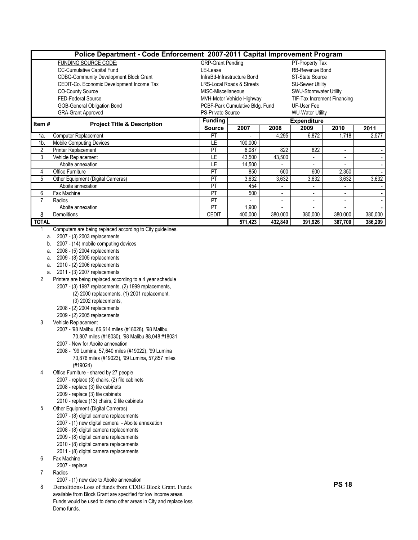|                | Police Department - Code Enforcement 2007-2011 Capital Improvement Program |                          |                                                       |                         |                             |                          |         |  |  |  |  |  |  |  |
|----------------|----------------------------------------------------------------------------|--------------------------|-------------------------------------------------------|-------------------------|-----------------------------|--------------------------|---------|--|--|--|--|--|--|--|
|                | <b>FUNDING SOURCE CODE:</b>                                                | <b>GRP-Grant Pending</b> |                                                       |                         | PT-Property Tax             |                          |         |  |  |  |  |  |  |  |
|                | CC-Cumulative Capital Fund                                                 | LE-Lease                 | RB-Revenue Bond                                       |                         |                             |                          |         |  |  |  |  |  |  |  |
|                | <b>CDBG-Community Development Block Grant</b>                              |                          | InfraBd-Infrastructure Bond<br><b>ST-State Source</b> |                         |                             |                          |         |  |  |  |  |  |  |  |
|                | CEDIT-Co. Economic Development Income Tax                                  |                          | LRS-Local Roads & Streets                             | <b>SU-Sewer Utility</b> |                             |                          |         |  |  |  |  |  |  |  |
|                | <b>CO-County Source</b>                                                    |                          | <b>SWU-Stormwater Utility</b><br>MISC-Miscellaneous   |                         |                             |                          |         |  |  |  |  |  |  |  |
|                | <b>FED-Federal Source</b>                                                  |                          | MVH-Motor Vehicle Highway                             |                         | TIF-Tax Increment Financing |                          |         |  |  |  |  |  |  |  |
|                | GOB-General Obligation Bond                                                |                          | PCBF-Park Cumulative Bldg. Fund                       |                         | UF-User Fee                 |                          |         |  |  |  |  |  |  |  |
|                | <b>GRA-Grant Approved</b>                                                  |                          | <b>PS-Private Source</b><br><b>WU-Water Utility</b>   |                         |                             |                          |         |  |  |  |  |  |  |  |
| Item#          |                                                                            | <b>Funding</b>           |                                                       |                         | <b>Expenditure</b>          |                          |         |  |  |  |  |  |  |  |
|                | <b>Project Title &amp; Description</b>                                     | <b>Source</b>            | 2007                                                  | 2008                    | 2009                        | 2010                     | 2011    |  |  |  |  |  |  |  |
| 1a.            | Computer Replacement                                                       | PT                       | $\blacksquare$                                        | 4,295                   | 6,872                       | 1,718                    | 2,577   |  |  |  |  |  |  |  |
| 1 <sub>b</sub> | <b>Mobile Computing Devices</b>                                            | LE                       | 100,000                                               |                         |                             |                          |         |  |  |  |  |  |  |  |
| $\overline{2}$ | Printer Replacement                                                        | PT                       | 6,087                                                 | 822                     | 822                         | $\overline{\phantom{a}}$ |         |  |  |  |  |  |  |  |
| 3              | Vehicle Replacement                                                        | LE                       | 43,500                                                | 43,500                  | ۰.                          | $\overline{\phantom{a}}$ |         |  |  |  |  |  |  |  |
|                | Aboite annexation                                                          | LE                       | 14,500                                                | $\overline{a}$          | $\overline{\phantom{0}}$    | ٠                        |         |  |  |  |  |  |  |  |
| 4              | Office Furniture                                                           | PT                       | 850                                                   | 600                     | 600                         | 2,350                    |         |  |  |  |  |  |  |  |
| 5              | Other Equipment (Digital Cameras)                                          | PT                       | 3,632                                                 | 3,632                   | 3,632                       | 3,632                    | 3,632   |  |  |  |  |  |  |  |
|                | Aboite annexation                                                          | PT                       | 454                                                   | $\blacksquare$          | $\overline{\phantom{0}}$    | $\blacksquare$           |         |  |  |  |  |  |  |  |
| 6              | Fax Machine                                                                | PT                       | 500                                                   | $\overline{a}$          | $\overline{\phantom{0}}$    | $\blacksquare$           | $\sim$  |  |  |  |  |  |  |  |
|                | Radios                                                                     | PT                       | ÷                                                     | $\overline{a}$          | $\overline{\phantom{0}}$    | $\blacksquare$           |         |  |  |  |  |  |  |  |
|                | Aboite annexation                                                          | PT                       | 900,                                                  |                         |                             |                          |         |  |  |  |  |  |  |  |
| 8              | Demolitions                                                                | <b>CEDIT</b>             | 400,000                                               | 380,000                 | 380,000                     | 380,000                  | 380,000 |  |  |  |  |  |  |  |
| <b>TOTAL</b>   |                                                                            |                          | 571,423                                               | 432,849                 | 391,926                     | 387,700                  | 386,209 |  |  |  |  |  |  |  |

1 Computers are being replaced according to City guidelines.

- a. 2007 (3) 2003 replacements
- b. 2007 (14) mobile computing devices
- a. 2008 (5) 2004 replacements
- a. 2009 (8) 2005 replacements
- a. 2010 (2) 2006 replacements
- a. 2011 (3) 2007 replacements
- 2 Printers are being replaced according to a 4 year schedule
	- 2007 (3) 1997 replacements, (2) 1999 replacements,
		- (2) 2000 replacements, (1) 2001 replacement,
		- (3) 2002 replacements,
	- 2008 (2) 2004 replacements
	- 2009 (2) 2005 replacements
- 3 Vehicle Replacement
	- 2007 '98 Malibu, 66,614 miles (#18028), '98 Malibu, 70,807 miles (#18030), '98 Malibu 88,048 #18031
	- 2007 New for Aboite annexation
	- 2008 '99 Lumina, 57,640 miles (#19022), '99 Lumina 70,876 miles (#19023), '99 Lumina, 57,857 miles (#19024)
- 4 Office Furniture shared by 27 people
	- 2007 replace (3) chairs, (2) file cabinets
	- 2008 replace (3) file cabinets
	- 2009 replace (3) file cabinets
	- 2010 replace (13) chairs, 2 file cabinets
- 5 Other Equipment (Digital Cameras)
	- 2007 (8) digital camera replacements
		- 2007 (1) new digital camera Aboite annexation
		- 2008 (8) digital camera replacements
		- 2009 (8) digital camera replacements
		- 2010 (8) digital camera replacements
		- 2011 (8) digital camera replacements
- 6 Fax Machine
- 2007 replace
- 7 Radios
	- 2007 (1) new due to Aboite annexation
- 8 Demolitions-Loss of funds from CDBG Block Grant. Funds available from Block Grant are specified for low income areas. Funds would be used to demo other areas in City and replace loss Demo funds.